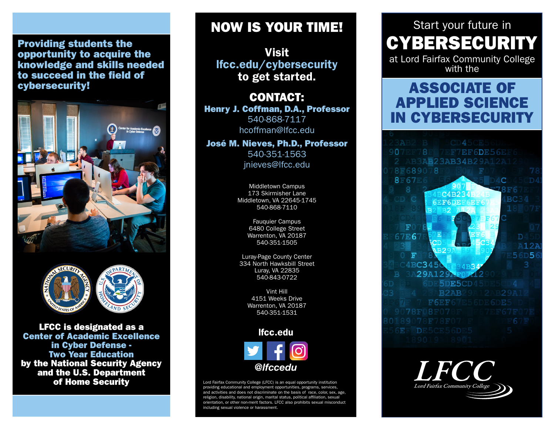#### Providing students the opportunity to acquire the knowledge and skills needed to succeed in the field of cybersecurity!





LFCC is designated as a Center of Academic Excellence in Cyber Defense - Two Year Education by the National Security Agency and the U.S. Department of Home Security

## NOW IS YOUR TIME!

Visit lfcc.edu/cybersecurity to get started.

CONTACT: Henry J. Coffman, D.A., Professor 540-868-7117 hcoffman@lfcc.edu

José M. Nieves, Ph.D., Professor 540-351-1563 jnieves@lfcc.edu

> Middletown Campus 173 Skirmisher Lane Middletown, VA 22645-1745 540-868-7110

> > Fauquier Campus 6480 College Street Warrenton, VA 20187 540-351-1505

Luray-Page County Center 334 North Hawksbill Street Luray, VA 22835 540-843-0722

> Vint Hill 4151 Weeks Drive Warrenton, VA 20187 540-351-1531

#### lfcc.edu



Lord Fairfax Community College (LFCC) is an equal opportunity institution providing educational and employment opportunities, programs, services, and activities and does not discriminate on the basis of race, color, sex, age, religion, disability, national origin, marital status, political affiliation, sexual ation, or other non-merit factors. LFCC also prohibits sexual misconduct including sexual violence or harassment.

# Start your future in CYBERSECURITY

at Lord Fairfax Community College with the

## ASSOCIATE OF APPLIED SCIENCE IN CYBERSECURITY